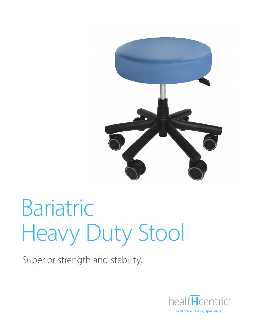

# Bariatric Heavy Duty Stool

Superior strength and stability.